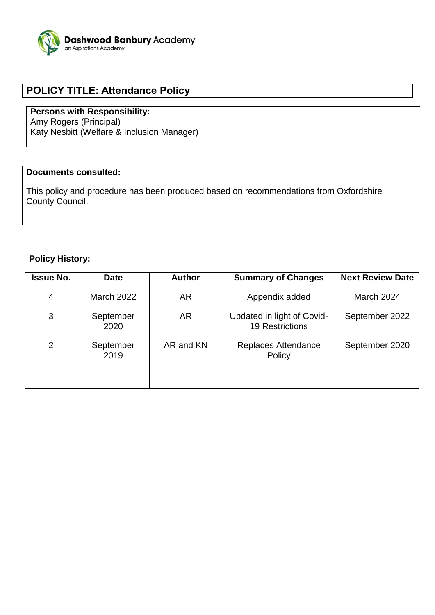

# **POLICY TITLE: Attendance Policy**

## **Persons with Responsibility:**

Amy Rogers (Principal) Katy Nesbitt (Welfare & Inclusion Manager)

#### **Documents consulted:**

This policy and procedure has been produced based on recommendations from Oxfordshire County Council.

| <b>Policy History:</b> |                   |               |                                                      |                         |
|------------------------|-------------------|---------------|------------------------------------------------------|-------------------------|
| <b>Issue No.</b>       | <b>Date</b>       | <b>Author</b> | <b>Summary of Changes</b>                            | <b>Next Review Date</b> |
| 4                      | March 2022        | <b>AR</b>     | Appendix added                                       | <b>March 2024</b>       |
| 3                      | September<br>2020 | <b>AR</b>     | Updated in light of Covid-<br><b>19 Restrictions</b> | September 2022          |
| $\overline{2}$         | September<br>2019 | AR and KN     | Replaces Attendance<br>Policy                        | September 2020          |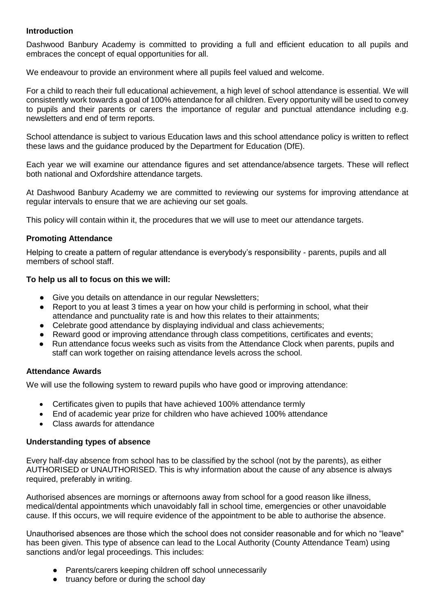#### **Introduction**

Dashwood Banbury Academy is committed to providing a full and efficient education to all pupils and embraces the concept of equal opportunities for all.

We endeavour to provide an environment where all pupils feel valued and welcome.

For a child to reach their full educational achievement, a high level of school attendance is essential. We will consistently work towards a goal of 100% attendance for all children. Every opportunity will be used to convey to pupils and their parents or carers the importance of regular and punctual attendance including e.g. newsletters and end of term reports.

School attendance is subject to various Education laws and this school attendance policy is written to reflect these laws and the guidance produced by the Department for Education (DfE).

Each year we will examine our attendance figures and set attendance/absence targets. These will reflect both national and Oxfordshire attendance targets.

At Dashwood Banbury Academy we are committed to reviewing our systems for improving attendance at regular intervals to ensure that we are achieving our set goals.

This policy will contain within it, the procedures that we will use to meet our attendance targets.

#### **Promoting Attendance**

Helping to create a pattern of regular attendance is everybody's responsibility - parents, pupils and all members of school staff.

#### **To help us all to focus on this we will:**

- Give you details on attendance in our regular Newsletters;
- Report to you at least 3 times a year on how your child is performing in school, what their attendance and punctuality rate is and how this relates to their attainments;
- Celebrate good attendance by displaying individual and class achievements;
- Reward good or improving attendance through class competitions, certificates and events;
- Run attendance focus weeks such as visits from the Attendance Clock when parents, pupils and staff can work together on raising attendance levels across the school.

#### **Attendance Awards**

We will use the following system to reward pupils who have good or improving attendance:

- Certificates given to pupils that have achieved 100% attendance termly
- End of academic year prize for children who have achieved 100% attendance
- Class awards for attendance

#### **Understanding types of absence**

Every half-day absence from school has to be classified by the school (not by the parents), as either AUTHORISED or UNAUTHORISED. This is why information about the cause of any absence is always required, preferably in writing.

Authorised absences are mornings or afternoons away from school for a good reason like illness, medical/dental appointments which unavoidably fall in school time, emergencies or other unavoidable cause. If this occurs, we will require evidence of the appointment to be able to authorise the absence.

Unauthorised absences are those which the school does not consider reasonable and for which no "leave" has been given. This type of absence can lead to the Local Authority (County Attendance Team) using sanctions and/or legal proceedings. This includes:

- Parents/carers keeping children off school unnecessarily
- truancy before or during the school day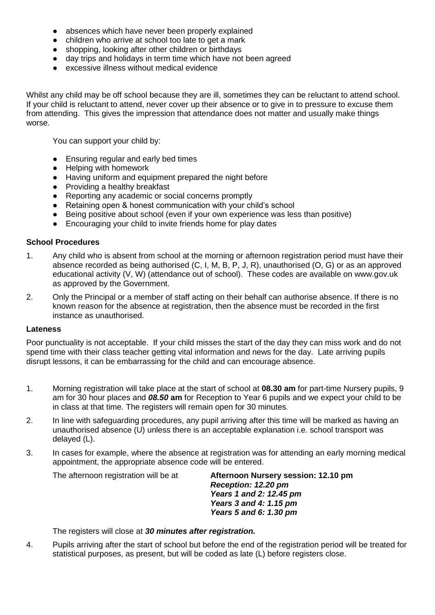- absences which have never been properly explained
- children who arrive at school too late to get a mark
- shopping, looking after other children or birthdays
- day trips and holidays in term time which have not been agreed
- excessive illness without medical evidence

Whilst any child may be off school because they are ill, sometimes they can be reluctant to attend school. If your child is reluctant to attend, never cover up their absence or to give in to pressure to excuse them from attending. This gives the impression that attendance does not matter and usually make things worse.

You can support your child by:

- Ensuring regular and early bed times
- Helping with homework
- Having uniform and equipment prepared the night before
- Providing a healthy breakfast
- Reporting any academic or social concerns promptly
- Retaining open & honest communication with your child's school
- Being positive about school (even if your own experience was less than positive)
- Encouraging your child to invite friends home for play dates

#### **School Procedures**

- 1. Any child who is absent from school at the morning or afternoon registration period must have their absence recorded as being authorised (C, I, M, B, P, J, R), unauthorised (O, G) or as an approved educational activity (V, W) (attendance out of school). These codes are available on www.gov.uk as approved by the Government.
- 2. Only the Principal or a member of staff acting on their behalf can authorise absence. If there is no known reason for the absence at registration, then the absence must be recorded in the first instance as unauthorised.

#### **Lateness**

Poor punctuality is not acceptable. If your child misses the start of the day they can miss work and do not spend time with their class teacher getting vital information and news for the day. Late arriving pupils disrupt lessons, it can be embarrassing for the child and can encourage absence.

- 1. Morning registration will take place at the start of school at **08.30 am** for part-time Nursery pupils, 9 am for 30 hour places and *08.50* **am** for Reception to Year 6 pupils and we expect your child to be in class at that time. The registers will remain open for 30 minutes*.*
- 2. In line with safeguarding procedures, any pupil arriving after this time will be marked as having an unauthorised absence (U) unless there is an acceptable explanation i.e. school transport was delayed (L).
- 3. In cases for example, where the absence at registration was for attending an early morning medical appointment, the appropriate absence code will be entered.

The afternoon registration will be at **Afternoon Nursery session: 12.10 pm** *Reception: 12.20 pm Years 1 and 2: 12.45 pm Years 3 and 4: 1.15 pm Years 5 and 6: 1.30 pm*

The registers will close at *30 minutes after registration.*

4. Pupils arriving after the start of school but before the end of the registration period will be treated for statistical purposes, as present, but will be coded as late (L) before registers close.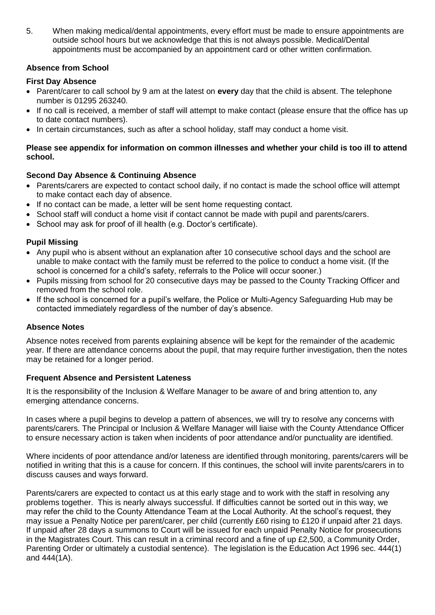5. When making medical/dental appointments, every effort must be made to ensure appointments are outside school hours but we acknowledge that this is not always possible. Medical/Dental appointments must be accompanied by an appointment card or other written confirmation.

## **Absence from School**

#### **First Day Absence**

- Parent/carer to call school by 9 am at the latest on **every** day that the child is absent. The telephone number is 01295 263240.
- If no call is received, a member of staff will attempt to make contact (please ensure that the office has up to date contact numbers).
- In certain circumstances, such as after a school holiday, staff may conduct a home visit.

#### **Please see appendix for information on common illnesses and whether your child is too ill to attend school.**

#### **Second Day Absence & Continuing Absence**

- Parents/carers are expected to contact school daily, if no contact is made the school office will attempt to make contact each day of absence.
- If no contact can be made, a letter will be sent home requesting contact.
- School staff will conduct a home visit if contact cannot be made with pupil and parents/carers.
- School may ask for proof of ill health (e.g. Doctor's certificate).

#### **Pupil Missing**

- Any pupil who is absent without an explanation after 10 consecutive school days and the school are unable to make contact with the family must be referred to the police to conduct a home visit. (If the school is concerned for a child's safety, referrals to the Police will occur sooner.)
- Pupils missing from school for 20 consecutive days may be passed to the County Tracking Officer and removed from the school role.
- If the school is concerned for a pupil's welfare, the Police or Multi-Agency Safeguarding Hub may be contacted immediately regardless of the number of day's absence.

## **Absence Notes**

Absence notes received from parents explaining absence will be kept for the remainder of the academic year. If there are attendance concerns about the pupil, that may require further investigation, then the notes may be retained for a longer period.

#### **Frequent Absence and Persistent Lateness**

It is the responsibility of the Inclusion & Welfare Manager to be aware of and bring attention to, any emerging attendance concerns.

In cases where a pupil begins to develop a pattern of absences, we will try to resolve any concerns with parents/carers. The Principal or Inclusion & Welfare Manager will liaise with the County Attendance Officer to ensure necessary action is taken when incidents of poor attendance and/or punctuality are identified.

Where incidents of poor attendance and/or lateness are identified through monitoring, parents/carers will be notified in writing that this is a cause for concern. If this continues, the school will invite parents/carers in to discuss causes and ways forward.

Parents/carers are expected to contact us at this early stage and to work with the staff in resolving any problems together. This is nearly always successful. If difficulties cannot be sorted out in this way, we may refer the child to the County Attendance Team at the Local Authority. At the school's request, they may issue a Penalty Notice per parent/carer, per child (currently £60 rising to £120 if unpaid after 21 days. If unpaid after 28 days a summons to Court will be issued for each unpaid Penalty Notice for prosecutions in the Magistrates Court. This can result in a criminal record and a fine of up £2,500, a Community Order, Parenting Order or ultimately a custodial sentence). The legislation is the Education Act 1996 sec. 444(1) and 444(1A).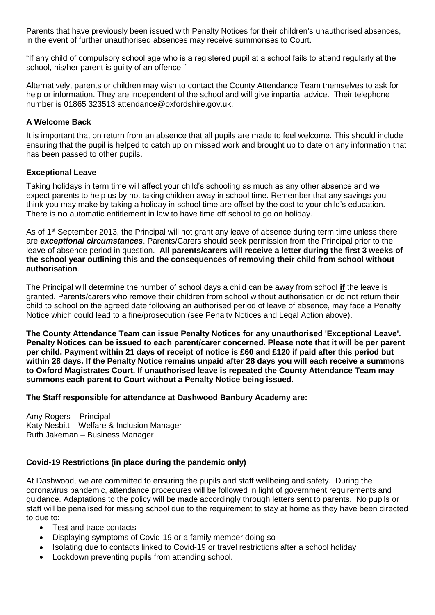Parents that have previously been issued with Penalty Notices for their children's unauthorised absences, in the event of further unauthorised absences may receive summonses to Court.

"If any child of compulsory school age who is a registered pupil at a school fails to attend regularly at the school, his/her parent is guilty of an offence.''

Alternatively, parents or children may wish to contact the County Attendance Team themselves to ask for help or information. They are independent of the school and will give impartial advice. Their telephone number is 01865 323513 attendance@oxfordshire.gov.uk.

## **A Welcome Back**

It is important that on return from an absence that all pupils are made to feel welcome. This should include ensuring that the pupil is helped to catch up on missed work and brought up to date on any information that has been passed to other pupils.

#### **Exceptional Leave**

Taking holidays in term time will affect your child's schooling as much as any other absence and we expect parents to help us by not taking children away in school time. Remember that any savings you think you may make by taking a holiday in school time are offset by the cost to your child's education. There is **no** automatic entitlement in law to have time off school to go on holiday.

As of 1<sup>st</sup> September 2013, the Principal will not grant any leave of absence during term time unless there are *exceptional circumstances*. Parents/Carers should seek permission from the Principal prior to the leave of absence period in question. **All parents/carers will receive a letter during the first 3 weeks of the school year outlining this and the consequences of removing their child from school without authorisation**.

The Principal will determine the number of school days a child can be away from school **if** the leave is granted. Parents/carers who remove their children from school without authorisation or do not return their child to school on the agreed date following an authorised period of leave of absence, may face a Penalty Notice which could lead to a fine/prosecution (see Penalty Notices and Legal Action above).

**The County Attendance Team can issue Penalty Notices for any unauthorised 'Exceptional Leave'. Penalty Notices can be issued to each parent/carer concerned. Please note that it will be per parent per child. Payment within 21 days of receipt of notice is £60 and £120 if paid after this period but within 28 days. If the Penalty Notice remains unpaid after 28 days you will each receive a summons to Oxford Magistrates Court. If unauthorised leave is repeated the County Attendance Team may summons each parent to Court without a Penalty Notice being issued.**

#### **The Staff responsible for attendance at Dashwood Banbury Academy are:**

Amy Rogers – Principal Katy Nesbitt – Welfare & Inclusion Manager Ruth Jakeman – Business Manager

#### **Covid-19 Restrictions (in place during the pandemic only)**

At Dashwood, we are committed to ensuring the pupils and staff wellbeing and safety. During the coronavirus pandemic, attendance procedures will be followed in light of government requirements and guidance. Adaptations to the policy will be made accordingly through letters sent to parents. No pupils or staff will be penalised for missing school due to the requirement to stay at home as they have been directed to due to:

- Test and trace contacts
- Displaying symptoms of Covid-19 or a family member doing so
- Isolating due to contacts linked to Covid-19 or travel restrictions after a school holiday
- Lockdown preventing pupils from attending school.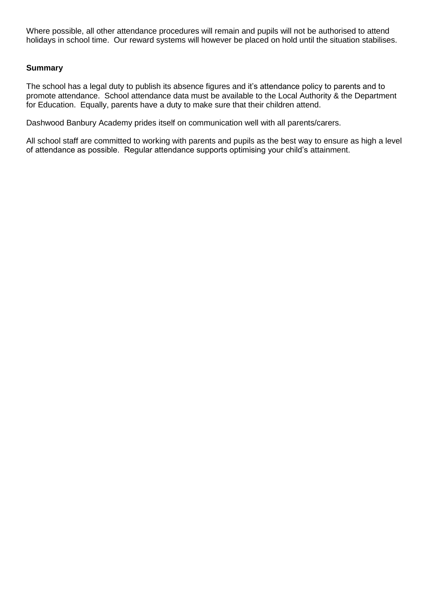Where possible, all other attendance procedures will remain and pupils will not be authorised to attend holidays in school time. Our reward systems will however be placed on hold until the situation stabilises.

#### **Summary**

The school has a legal duty to publish its absence figures and it's attendance policy to parents and to promote attendance. School attendance data must be available to the Local Authority & the Department for Education. Equally, parents have a duty to make sure that their children attend.

Dashwood Banbury Academy prides itself on communication well with all parents/carers.

All school staff are committed to working with parents and pupils as the best way to ensure as high a level of attendance as possible. Regular attendance supports optimising your child's attainment.